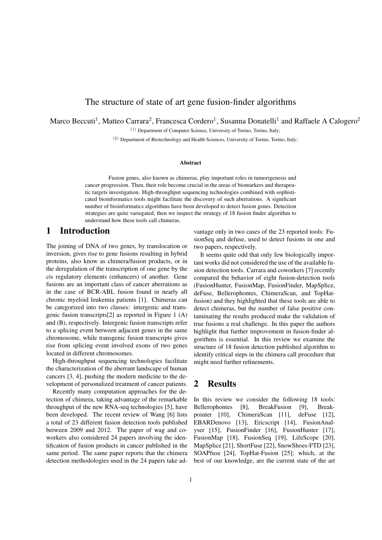## The structure of state of art gene fusion-finder algorithms

Marco Beccuti<sup>1</sup>, Matteo Carrara<sup>2</sup>, Francesca Cordero<sup>1</sup>, Susanna Donatelli<sup>1</sup> and Raffaele A Calogero<sup>2</sup>

(1) Department of Computer Science, University of Torino, Torino, Italy;

(2) Department of Biotechnology and Health Sciences, University of Torino, Torino, Italy;

#### Abstract

Fusion genes, also known as chimeras, play important roles in tumorigenesis and cancer progression. Then, their role become crucial in the areas of biomarkers and therapeutic targets investigation. High-throughput sequencing technologies combined with sophisticated bioinformatics tools might facilitate the discovery of such aberrations. A significant number of bioinformatics algorithms have been developed to detect fusion genes. Detection strategies are quite variegated, then we inspect the strategy of 18 fusion finder algorithm to understand how these tools call chimeras.

# 1 Introduction

The joining of DNA of two genes, by translocation or inversion, gives rise to gene fusions resulting in hybrid proteins, also know as chimera/fusion products, or in the deregulation of the transcription of one gene by the cis regulatory elements (enhancers) of another. Gene fusions are an important class of cancer aberrations as in the case of BCR-ABL fusion found in nearly all chronic myeloid leukemia patients [1]. Chimeras can be categorized into two classes: intergenic and transgenic fusion transcripts[2] as reported in Figure 1 (A) and (B), respectively. Intergenic fusion transcripts refer to a splicing event between adjacent genes in the same chromosome, while transgenic fusion transcripts gives rise from splicing event involved exons of two genes located in different chromosomes.

High-throughput sequencing technologies facilitate the characterization of the aberrant landscape of human cancers [3, 4], pushing the modern medicine to the development of personalized treatment of cancer patients.

Recently many computation approaches for the detection of chimera, taking advantage of the remarkable throughput of the new RNA-seq technologies [5], have been developed. The recent review of Wang [6] lists a total of 23 different fusion detection tools published between 2009 and 2012. The paper of wag and coworkers also considered 24 papers involving the identification of fusion products in cancer published in the same period. The same paper reports that the chimera detection methodologies used in the 24 papers take advantage only in two cases of the 23 reported tools: FusionSeq and defuse, used to detect fusions in one and two papers, respectively.

It seems quite odd that only few biologically important works did not considered the use of the available fusion detection tools. Carrara and coworkers [7] recently compared the behavior of eight fusion-detection tools (FusionHunter, FusionMap, FusionFinder, MapSplice, deFuse, Bellerophontes, ChimeraScan, and TopHatfusion) and they highlighted that these tools are able to detect chimeras, but the number of false positive contaminating the results produced make the validation of true fusions a real challenge. In this paper the authors highlight that further improvement in fusion-finder algorithms is essential. In this review we examine the structure of 18 fusion detection published algorithm to identify critical steps in the chimera call procedure that might need further refinements.

### 2 Results

In this review we consider the following 18 tools: Bellerophontes [8], BreakFusion [9], Breakpointer [10], ChimeraScan [11], deFuse [12], EBARDenovo [13], Ericscript [14], FusionAnalyser [15], FusionFinder [16], FusionHunter [17], FusionMap [18], FusionSeq [19], LifeScope [20], MapSplice [21], ShortFuse [22], SnowShoes-FTD [23], SOAPfuse [24], TopHat-Fusion [25]; which, at the best of our knowledge, are the current state of the art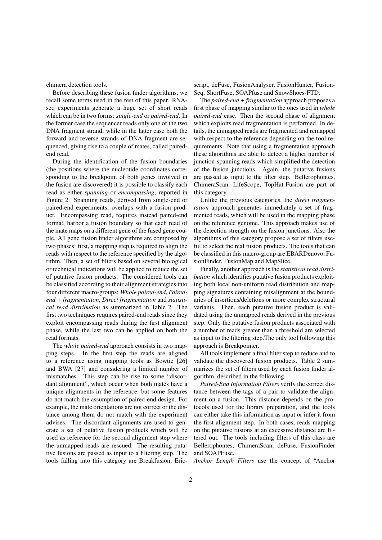chimera detection tools.

Before describing these fusion finder algorithms, we recall some terms used in the rest of this paper. RNAseq experiments generate a huge set of short reads which can be in two forms: *single-end* or *paired-end*. In the former case the sequencer reads only one of the two DNA fragment strand; while in the latter case both the forward and reverse strands of DNA fragment are sequenced, giving rise to a couple of mates, called pairedend read.

During the identification of the fusion boundaries (the positions where the nucleotide coordinates corresponding to the breakpoint of both genes involved in the fusion are discovered) it is possible to classify each read as either *spanning* or *encompassing*, reported in Figure 2. Spanning reads, derived from single-end or paired-end experiments, overlaps with a fusion product. Encompassing read, requires instead paired-end format, harbor a fusion boundary so that each read of the mate maps on a different gene of the fused gene couple. All gene fusion finder algorithms are composed by two phases: first, a mapping step is required to align the reads with respect to the reference specified by the algorithm. Then, a set of filters based on several biological or technical indications will be applied to reduce the set of putative fusion products. The considered tools can be classified according to their alignment strategies into four different macro-groups: *Whole paired-end*, *Pairedend + fragmentation*, *Direct fragmentation* and *statistical read distribution* as summarized in Table 2. The first two techniques requires paired-end reads since they exploit encompassing reads during the first alignment phase, while the last two can be applied on both the read formats.

The *whole paired-end* approach consists in two mapping steps. In the first step the reads are aligned to a reference using mapping tools as Bowtie [26] and BWA [27] and considering a limited number of mismatches. This step can be rise to some "discordant alignment", which occur when both mates have a unique alignments in the reference, but some features do not match the assumption of paired-end design. For example, the mate orientations are not correct or the distance among them do not match with the experiment advises. The discordant alignments are used to generate a set of putative fusion products which will be used as reference for the second alignment step where the unmapped reads are rescued. The resulting putative fusions are passed as input to a filtering step. The tools falling into this category are Breakfusion, Ericscript, deFuse, FusionAnalyser, FusionHunter, Fusion-Seq, ShortFuse, SOAPfuse and SnowShoes-FTD.

The *paired-end + fragmentation* approach proposes a first phase of mapping similar to the ones used in *whole paired-end* case. Then the second phase of alignment which exploits read fragmentation is performed. In details, the unmapped reads are fragmented and remapped with respect to the reference depending on the tool requirements. Note that using a fragmentation approach these algorithms are able to detect a higher number of junction-spanning reads which simplified the detection of the fusion junctions. Again, the putative fusions are passed as input to the filter step. Bellerophontes, ChimeraScan, LifeScope, TopHat-Fusion are part of this category.

Unlike the previous categories, the *direct fragmentation* approach generates immediately a set of fragmented reads, which will be used in the mapping phase on the reference genome. This approach makes use of the detection strength on the fusion junctions. Also the algorithms of this category propose a set of filters useful to select the real fusion products. The tools that can be classified in this macro-group are EBARDenovo, FusionFinder, FusionMap and MapSlice.

Finally, another approach is the *statistical read distribution* which identifies putative fusion products exploiting both local non-uniform read distribution and mapping signatures containing misalignment at the boundaries of insertions/deletions or more complex structural variants. Then, each putative fusion product is validated using the unmapped reads derived in the previous step. Only the putative fusion products associated with a number of reads greater than a threshold are selected as input to the filtering step.The only tool following this approach is Breakpointer.

All tools implement a final filter step to reduce and to validate the discovered fusion products. Table 2 summarizes the set of filters used by each fusion finder algorithm, described in the following.

*Paired-End Information Filters* verify the correct distance between the tags of a pair to validate the alignment on a fusion. This distance depends on the protocols used for the library preparation, and the tools can either take this information as input or infer it from the first alignment step. In both cases, reads mapping on the putative fusions at an excessive distance are filtered out. The tools including filters of this class are Bellerophontes, ChimeraScan, deFuse, FusionFinder and SOAPFuse.

*Anchor Length Filters* use the concept of "Anchor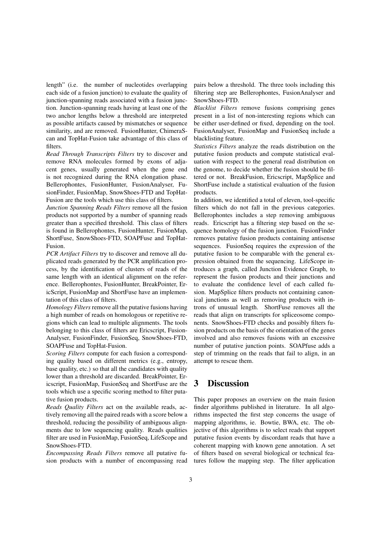length" (i.e. the number of nucleotides overlapping each side of a fusion junction) to evaluate the quality of junction-spanning reads associated with a fusion junction. Junction-spanning reads having at least one of the two anchor lengths below a threshold are interpreted as possible artifacts caused by mismatches or sequence similarity, and are removed. FusionHunter, ChimeraScan and TopHat-Fusion take advantage of this class of filters.

*Read Through Transcripts Filters* try to discover and remove RNA molecules formed by exons of adjacent genes, usually generated when the gene end is not recognized during the RNA elongation phase. Bellerophontes, FusionHunter, FusionAnalyser, FusionFinder, FusionMap, SnowShoes-FTD and TopHat-Fusion are the tools which use this class of filters.

*Junction Spanning Reads Filters* remove all the fusion products not supported by a number of spanning reads greater than a specified threshold. This class of filters is found in Bellerophontes, FusionHunter, FusionMap, ShortFuse, SnowShoes-FTD, SOAPFuse and TopHat-Fusion.

*PCR Artifact Filters* try to discover and remove all duplicated reads generated by the PCR amplification process, by the identification of clusters of reads of the same length with an identical alignment on the reference. Bellerophontes, FusionHunter, BreakPointer, EricScript, FusionMap and ShortFuse have an implementation of this class of filters.

*Homology Filters* remove all the putative fusions having a high number of reads on homologous or repetitive regions which can lead to multiple alignments. The tools belonging to this class of filters are Ericscript, Fusion-Analyser, FusionFinder, FusionSeq, SnowShoes-FTD, SOAPFuse and TopHat-Fusion.

*Scoring Filters* compute for each fusion a corresponding quality based on different metrics (e.g., entropy, base quality, etc.) so that all the candidates with quality lower than a threshold are discarded. BreakPointer, Ericscript, FusionMap, FusionSeq and ShortFuse are the tools which use a specific scoring method to filter putative fusion products.

*Reads Quality Filters* act on the available reads, actively removing all the paired reads with a score below a threshold, reducing the possibility of ambiguous alignments due to low sequencing quality. Reads qualities filter are used in FusionMap, FusionSeq, LifeScope and SnowShoes-FTD.

*Encompassing Reads Filters* remove all putative fusion products with a number of encompassing read pairs below a threshold. The three tools including this filtering step are Bellerophontes, FusionAnalyser and SnowShoes-FTD.

*Blacklist Filters* remove fusions comprising genes present in a list of non-interesting regions which can be either user-defined or fixed, depending on the tool. FusionAnalyser, FusionMap and FusionSeq include a blacklisting feature.

*Statistics Filters* analyze the reads distribution on the putative fusion products and compute statistical evaluation with respect to the general read distribution on the genome, to decide whether the fusion should be filtered or not. BreakFusion, Ericscript, MapSplice and ShortFuse include a statistical evaluation of the fusion products.

In addition, we identified a total of eleven, tool-specific filters which do not fall in the previous categories. Bellerophontes includes a step removing ambiguous reads. Ericscript has a filtering step based on the sequence homology of the fusion junction. FusionFinder removes putative fusion products containing antisense sequences. FusionSeq requires the expression of the putative fusion to be comparable with the general expression obtained from the sequencing. LifeScope introduces a graph, called Junction Evidence Graph, to represent the fusion products and their junctions and to evaluate the confidence level of each called fusion. MapSplice filters products not containing canonical junctions as well as removing products with introns of unusual length. ShortFuse removes all the reads that align on transcripts for spliceosome components. SnowShoes-FTD checks and possibly filters fusion products on the basis of the orientation of the genes involved and also removes fusions with an excessive number of putative junction points. SOAPfuse adds a step of trimming on the reads that fail to align, in an attempt to rescue them.

### 3 Discussion

This paper proposes an overview on the main fusion finder algorithms published in literature. In all algorithms inspected the first step concerns the usage of mapping algorithms, ie. Bowtie, BWA, etc. The objective of this algorithms is to select reads that support putative fusion events by discordant reads that have a coherent mapping with known gene annotation. A set of filters based on several biological or technical features follow the mapping step. The filter application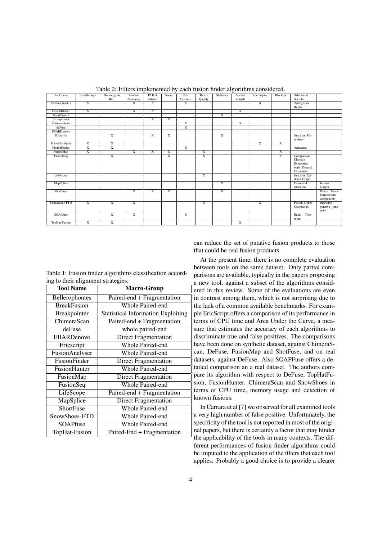| Tool name          | Readthrough             | Homologous              | Junction       | PCR A                   | Score                   | Pair                    | Reads          | <b>Statistics</b> | Anchor         | Encompass               | <b>Blacklist</b>        | Additional          |               |
|--------------------|-------------------------|-------------------------|----------------|-------------------------|-------------------------|-------------------------|----------------|-------------------|----------------|-------------------------|-------------------------|---------------------|---------------|
|                    |                         | Rep.                    | Spanning       | Artifact                |                         | Distance                | Quality        |                   | Length         |                         |                         | Specific            |               |
| Bellerophontes     | $\overline{X}$          |                         | $\overline{X}$ | $\overline{\mathbf{x}}$ |                         | $\overline{\mathbf{x}}$ |                |                   |                | $\overline{X}$          |                         | Ambiguous           |               |
|                    |                         |                         |                |                         |                         |                         |                |                   |                |                         |                         | Reads               |               |
| FusionHunter       | $\overline{\mathbf{x}}$ |                         | $\overline{X}$ | X                       |                         |                         |                |                   | $\overline{X}$ |                         |                         |                     |               |
| <b>BreakFusion</b> |                         |                         |                |                         |                         |                         |                | $\overline{X}$    |                |                         |                         |                     |               |
| Breakpointer       |                         |                         |                | $\overline{X}$          | $\overline{\mathbf{x}}$ |                         |                |                   |                |                         |                         |                     |               |
| ChimeraScan        |                         |                         |                |                         |                         | $\overline{\mathbf{x}}$ |                |                   | $\overline{X}$ |                         |                         |                     |               |
| deFuse             |                         |                         |                |                         |                         | $\overline{X}$          |                |                   |                |                         |                         |                     |               |
| <b>EBARDenovo</b>  |                         |                         |                |                         |                         |                         |                |                   |                |                         |                         |                     |               |
| Ericscript         |                         | $\overline{\mathbf{x}}$ |                | $\overline{\mathbf{x}}$ | X                       |                         |                | $\overline{X}$    |                |                         |                         | Junction Ho-        |               |
|                    |                         |                         |                |                         |                         |                         |                |                   |                |                         |                         | mology              |               |
| FusionAnalyser     | $\overline{\mathbf{x}}$ | $\overline{\mathbf{x}}$ |                |                         |                         |                         |                |                   |                | $\overline{\mathbf{x}}$ | $\overline{\mathbf{x}}$ |                     |               |
| FusionFinder       | $\overline{\mathbf{x}}$ | $\overline{\mathbf{x}}$ |                |                         |                         | $\overline{\mathbf{x}}$ |                |                   |                |                         |                         | Antisense           |               |
| FusionMap          | $\overline{\mathbf{x}}$ |                         | $\overline{X}$ | $\overline{X}$          | $\overline{\mathbf{x}}$ |                         | X              |                   |                |                         | $\overline{X}$          |                     |               |
| FusionSeq          |                         | $\overline{\mathbf{x}}$ |                |                         | $\overline{\mathbf{x}}$ |                         | $\overline{X}$ |                   |                |                         | $\overline{X}$          | Comparison          |               |
|                    |                         |                         |                |                         |                         |                         |                |                   |                |                         |                         | Chimera             |               |
|                    |                         |                         |                |                         |                         |                         |                |                   |                |                         |                         | Expression          |               |
|                    |                         |                         |                |                         |                         |                         |                |                   |                |                         |                         | with General        |               |
|                    |                         |                         |                |                         |                         |                         |                |                   |                |                         |                         | Expression          |               |
| LifeScope          |                         |                         |                |                         |                         |                         | $\overline{X}$ |                   |                |                         |                         | Junction Evi-       |               |
|                    |                         |                         |                |                         |                         |                         |                |                   |                |                         |                         | dence Graph         |               |
| MapSplice          |                         |                         |                |                         |                         |                         |                | $\overline{X}$    |                |                         |                         | Canonical           | Introns       |
|                    |                         |                         |                |                         |                         |                         |                |                   |                |                         |                         | Junctions           | Length        |
| ShortFuse          |                         |                         | $\overline{X}$ | $\overline{\mathbf{x}}$ | $\overline{\mathbf{x}}$ |                         |                | $\overline{X}$    |                |                         |                         |                     | Reads From    |
|                    |                         |                         |                |                         |                         |                         |                |                   |                |                         |                         |                     | Spliceosome   |
|                    |                         |                         |                |                         |                         |                         |                |                   |                |                         |                         |                     | components    |
| SnowShoes-FTD      | $\overline{\mathbf{x}}$ | $\overline{\mathbf{x}}$ | $\overline{X}$ |                         |                         |                         | $\overline{X}$ |                   |                | $\overline{X}$          |                         | <b>Fusion Genes</b> | excessive     |
|                    |                         |                         |                |                         |                         |                         |                |                   |                |                         |                         | Orientation         | putative junc |
|                    |                         |                         |                |                         |                         |                         |                |                   |                |                         |                         |                     | point         |
| <b>SOAPfuse</b>    |                         | $\overline{\mathbf{x}}$ | $\overline{X}$ |                         |                         | $\overline{\mathbf{x}}$ |                |                   |                |                         |                         | Trim-<br>Read       |               |
|                    |                         |                         |                |                         |                         |                         |                |                   |                |                         |                         | ming                |               |
| TopHat-Fusion      | $\overline{X}$          | $\overline{\mathbf{x}}$ |                |                         |                         |                         |                |                   | $\overline{X}$ |                         |                         |                     |               |

Table 2: Filters implemented by each fusion finder algorithms considered.

| Table 1: Fusion finder algorithms classification accord- |  |
|----------------------------------------------------------|--|
| ing to their alignment strategies.                       |  |

| <b>Tool Name</b>      | <b>Macro-Group</b>                        |  |  |  |  |
|-----------------------|-------------------------------------------|--|--|--|--|
| <b>Bellerophontes</b> | Paired-end + Fragmentation                |  |  |  |  |
| <b>BreakFusion</b>    | Whole Paired-end                          |  |  |  |  |
| <b>Breakpointer</b>   | <b>Statistical Information Exploiting</b> |  |  |  |  |
| ChimeraScan           | Paired-end + Fragmentation                |  |  |  |  |
| deFuse                | whole paired-end                          |  |  |  |  |
| <b>EBARDenovo</b>     | Direct Fragmentation                      |  |  |  |  |
| Ericscript            | Whole Paired-end                          |  |  |  |  |
| <b>FusionAnalyser</b> | Whole Paired-end                          |  |  |  |  |
| FusionFinder          | Direct Fragmentation                      |  |  |  |  |
| FusionHunter          | Whole Paired-end                          |  |  |  |  |
| FusionMap             | Direct Fragmentation                      |  |  |  |  |
| FusionSeq             | Whole Paired-end                          |  |  |  |  |
| LifeScope             | Paired-end + Fragmentation                |  |  |  |  |
| MapSplice             | <b>Direct Fragmentation</b>               |  |  |  |  |
| ShortFuse             | Whole Paired-end                          |  |  |  |  |
| SnowShoes-FTD         | Whole Paired-end                          |  |  |  |  |
| SOAPfuse              | Whole Paired-end                          |  |  |  |  |
| TopHat-Fusion         | Paired-End + Fragmentation                |  |  |  |  |

can reduce the set of putative fusion products to those that could be real fusion products.

At the present time, there is no complete evaluation between tools on the same dataset. Only partial comparisons are available, typically in the papers proposing a new tool, against a subset of the algorithms considered in this review. Some of the evaluations are even in contrast among them, which is not surprising due to the lack of a common available benchmarks. For example EricScript offers a comparison of its performance in terms of CPU time and Area Under the Curve, a measure that estimates the accuracy of each algorithms to discriminate true and false positives. The comparisons have been done on synthetic dataset, against ChimeraScan, DeFuse, FusionMap and ShotFuse, and on real datasets, against DeFuse. Also SOAPFuse offers a detailed comparison an a real dataset. The authors compare its algorithm with respect to DeFuse, TopHatFusion, FusionHunter, ChimeraScan and SnowShoes in terms of CPU time, memory usage and detection of known fusions.

In Carrara et al [7] we observed for all examined tools a very high number of false positive. Unfortunately, the specificity of the tool is not reported in most of the original papers, but there is certainly a factor that may hinder the applicability of the tools in many contexts. The different performances of fusion finder algorithms could be imputed to the application of the filters that each tool applies. Probably a good choice is to provide a clearer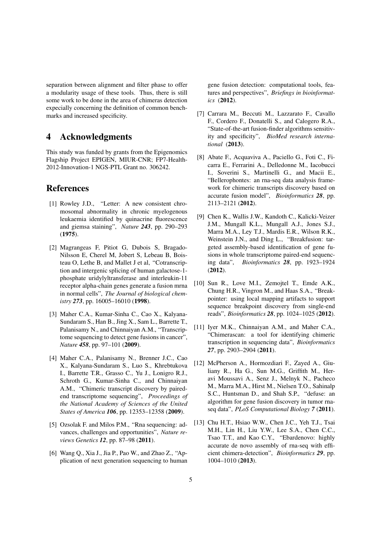separation between alignment and filter phase to offer a modularity usage of these tools. Thus, there is still some work to be done in the area of chimeras detection expecially concerning the definition of common benchmarks and increased specificity.

### 4 Acknowledgments

This study was funded by grants from the Epigenomics Flagship Project EPIGEN, MIUR-CNR; FP7-Health-2012-Innovation-1 NGS-PTL Grant no. 306242.

### References

- [1] Rowley J.D., "Letter: A new consistent chromosomal abnormality in chronic myelogenous leukaemia identified by quinacrine fluorescence and giemsa staining", *Nature 243*, pp. 290–293 (1975).
- [2] Magrangeas F, Pitiot G, Dubois S, Bragado-Nilsson E, Cherel M, Jobert S, Lebeau B, Boisteau O, Lethe B, and Mallet J et al, "Cotranscription and intergenic splicing of human galactose-1 phosphate uridylyltransferase and interleukin-11 receptor alpha-chain genes generate a fusion mrna in normal cells", *The Journal of biological chemistry 273*, pp. 16005–16010 (1998).
- [3] Maher C.A., Kumar-Sinha C., Cao X., Kalyana-Sundaram S., Han B., Jing X., Sam L., Barrette T., Palanisamy N., and Chinnaiyan A.M., "Transcriptome sequencing to detect gene fusions in cancer", *Nature 458*, pp. 97–101 (2009).
- [4] Maher C.A., Palanisamy N., Brenner J.C., Cao X., Kalyana-Sundaram S., Luo S., Khrebtukova I., Barrette T.R., Grasso C., Yu J., Lonigro R.J., Schroth G., Kumar-Sinha C., and Chinnaiyan A.M., "Chimeric transcript discovery by pairedend transcriptome sequencing", *Proceedings of the National Academy of Sciences of the United States of America 106*, pp. 12353–12358 (2009).
- [5] Ozsolak F. and Milos P.M., "Rna sequencing: advances, challenges and opportunities", *Nature reviews Genetics 12*, pp. 87–98 (2011).
- [6] Wang Q., Xia J., Jia P., Pao W., and Zhao Z., "Application of next generation sequencing to human

gene fusion detection: computational tools, features and perspectives", *Briefings in bioinformatics* (2012).

- [7] Carrara M., Beccuti M., Lazzarato F., Cavallo F., Cordero F., Donatelli S., and Calogero R.A., "State-of-the-art fusion-finder algorithms sensitivity and specificity", *BioMed research international* (2013).
- [8] Abate F., Acquaviva A., Paciello G., Foti C., Ficarra E., Ferrarini A., Delledonne M., Iacobucci I., Soverini S., Martinelli G., and Macii E., "Bellerophontes: an rna-seq data analysis framework for chimeric transcripts discovery based on accurate fusion model", *Bioinformatics 28*, pp. 2113–2121 (2012).
- [9] Chen K., Wallis J.W., Kandoth C., Kalicki-Veizer J.M., Mungall K.L., Mungall A.J., Jones S.J., Marra M.A., Ley T.J., Mardis E.R., Wilson R.K., Weinstein J.N., and Ding L., "Breakfusion: targeted assembly-based identification of gene fusions in whole transcriptome paired-end sequencing data", *Bioinformatics 28*, pp. 1923–1924 (2012).
- [10] Sun R., Love M.I., Zemojtel T., Emde A.K., Chung H.R., Vingron M., and Haas S.A., "Breakpointer: using local mapping artifacts to support sequence breakpoint discovery from single-end reads", *Bioinformatics 28*, pp. 1024–1025 (2012).
- [11] Iyer M.K., Chinnaiyan A.M., and Maher C.A., "Chimerascan: a tool for identifying chimeric transcription in sequencing data", *Bioinformatics 27*, pp. 2903–2904 (2011).
- [12] McPherson A., Hormozdiari F., Zayed A., Giuliany R., Ha G., Sun M.G., Griffith M., Heravi Moussavi A., Senz J., Melnyk N., Pacheco M., Marra M.A., Hirst M., Nielsen T.O., Sahinalp S.C., Huntsman D., and Shah S.P., "defuse: an algorithm for gene fusion discovery in tumor rnaseq data", *PLoS Computational Biology 7* (2011).
- [13] Chu H.T., Hsiao W.W., Chen J.C., Yeh T.J., Tsai M.H., Lin H., Liu Y.W., Lee S.A., Chen C.C., Tsao T.T., and Kao C.Y., "Ebardenovo: highly accurate de novo assembly of rna-seq with efficient chimera-detection", *Bioinformatics 29*, pp. 1004–1010 (2013).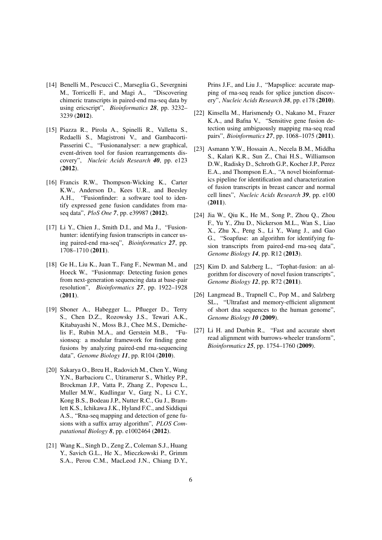- [14] Benelli M., Pescucci C., Marseglia G., Severgnini M., Torricelli F., and Magi A., "Discovering chimeric transcripts in paired-end rna-seq data by using ericscript", *Bioinformatics 28*, pp. 3232– 3239 (2012).
- [15] Piazza R., Pirola A., Spinelli R., Valletta S., Redaelli S., Magistroni V., and Gambacorti-Passerini C., "Fusionanalyser: a new graphical, event-driven tool for fusion rearrangements discovery", *Nucleic Acids Research 40*, pp. e123 (2012).
- [16] Francis R.W., Thompson-Wicking K., Carter K.W., Anderson D., Kees U.R., and Beesley A.H., "Fusionfinder: a software tool to identify expressed gene fusion candidates from rnaseq data", *PloS One 7*, pp. e39987 (2012).
- [17] Li Y., Chien J., Smith D.I., and Ma J., "Fusionhunter: identifying fusion transcripts in cancer using paired-end rna-seq", *Bioinformatics 27*, pp. 1708–1710 (2011).
- [18] Ge H., Liu K., Juan T., Fang F., Newman M., and Hoeck W., "Fusionmap: Detecting fusion genes from next-generation sequencing data at base-pair resolution", *Bioinformatics 27*, pp. 1922–1928 (2011).
- [19] Sboner A., Habegger L., Pflueger D., Terry S., Chen D.Z., Rozowsky J.S., Tewari A.K., Kitabayashi N., Moss B.J., Chee M.S., Demichelis F., Rubin M.A., and Gerstein M.B., "Fusionseq: a modular framework for finding gene fusions by analyzing paired-end rna-sequencing data", *Genome Biology 11*, pp. R104 (2010).
- [20] Sakarya O., Breu H., Radovich M., Chen Y., Wang Y.N., Barbacioru C., Utiramerur S., Whitley P.P., Brockman J.P., Vatta P., Zhang Z., Popescu L., Muller M.W., Kudlingar V., Garg N., Li C.Y., Kong B.S., Bodeau J.P., Nutter R.C., Gu J., Bramlett K.S., Ichikawa J.K., Hyland F.C., and Siddiqui A.S., "Rna-seq mapping and detection of gene fusions with a suffix array algorithm", *PLOS Computational Biology 8*, pp. e1002464 (2012).
- [21] Wang K., Singh D., Zeng Z., Coleman S.J., Huang Y., Savich G.L., He X., Mieczkowski P., Grimm S.A., Perou C.M., MacLeod J.N., Chiang D.Y.,

Prins J.F., and Liu J., "Mapsplice: accurate mapping of rna-seq reads for splice junction discovery", *Nucleic Acids Research 38*, pp. e178 (2010).

- [22] Kinsella M., Harismendy O., Nakano M., Frazer K.A., and Bafna V., "Sensitive gene fusion detection using ambiguously mapping rna-seq read pairs", *Bioinformatics 27*, pp. 1068–1075 (2011).
- [23] Asmann Y.W., Hossain A., Necela B.M., Middha S., Kalari K.R., Sun Z., Chai H.S., Williamson D.W., Radisky D., Schroth G.P., Kocher J.P., Perez E.A., and Thompson E.A., "A novel bioinformatics pipeline for identification and characterization of fusion transcripts in breast cancer and normal cell lines", *Nucleic Acids Research 39*, pp. e100 (2011).
- [24] Jia W., Qiu K., He M., Song P., Zhou Q., Zhou F., Yu Y., Zhu D., Nickerson M.L., Wan S., Liao X., Zhu X., Peng S., Li Y., Wang J., and Gao G., "Soapfuse: an algorithm for identifying fusion transcripts from paired-end rna-seq data", *Genome Biology 14*, pp. R12 (2013).
- [25] Kim D. and Salzberg L., "Tophat-fusion: an algorithm for discovery of novel fusion transcripts", *Genome Biology 12*, pp. R72 (2011).
- [26] Langmead B., Trapnell C., Pop M., and Salzberg SL., "Ultrafast and memory-efficient alignment of short dna sequences to the human genome", *Genome Biology 10* (2009).
- [27] Li H. and Durbin R., "Fast and accurate short read alignment with burrows-wheeler transform", *Bioinformatics 25*, pp. 1754–1760 (2009).